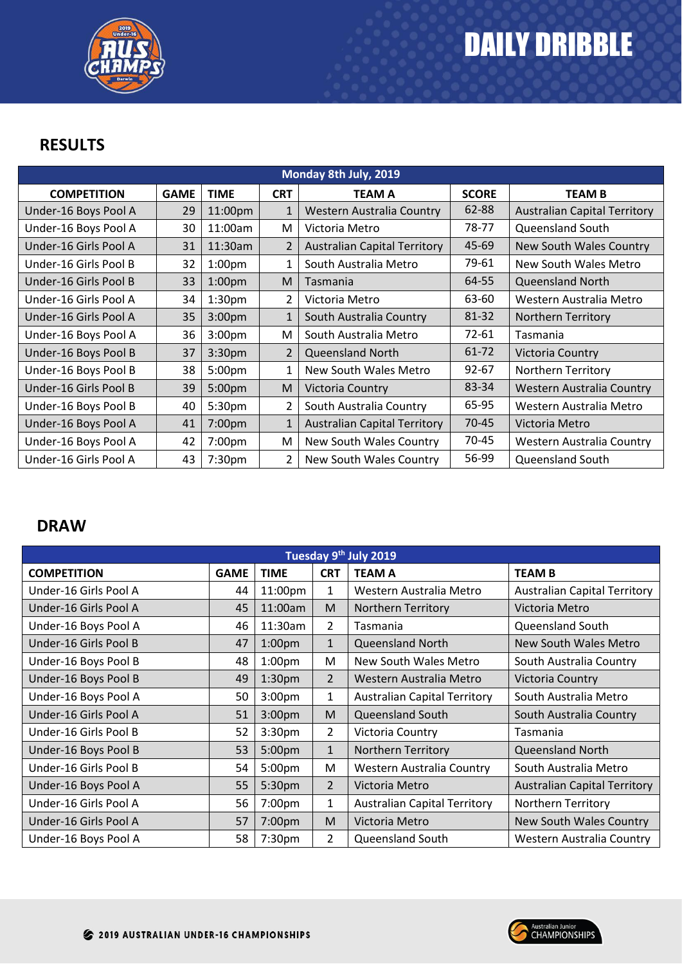

## **RESULTS**

| Monday 8th July, 2019 |             |                    |                |                                     |              |                                     |  |  |
|-----------------------|-------------|--------------------|----------------|-------------------------------------|--------------|-------------------------------------|--|--|
| <b>COMPETITION</b>    | <b>GAME</b> | <b>TIME</b>        | <b>CRT</b>     | <b>TEAM A</b>                       | <b>SCORE</b> | <b>TEAM B</b>                       |  |  |
| Under-16 Boys Pool A  | 29          | 11:00pm            | $\mathbf{1}$   | <b>Western Australia Country</b>    | 62-88        | <b>Australian Capital Territory</b> |  |  |
| Under-16 Boys Pool A  | 30          | 11:00am            | м              | Victoria Metro                      | 78-77        | Queensland South                    |  |  |
| Under-16 Girls Pool A | 31          | 11:30am            | $\overline{2}$ | <b>Australian Capital Territory</b> | 45-69        | New South Wales Country             |  |  |
| Under-16 Girls Pool B | 32          | 1:00 <sub>pm</sub> | 1              | South Australia Metro               | 79-61        | New South Wales Metro               |  |  |
| Under-16 Girls Pool B | 33          | 1:00 <sub>pm</sub> | M              | Tasmania                            | 64-55        | <b>Queensland North</b>             |  |  |
| Under-16 Girls Pool A | 34          | 1:30 <sub>pm</sub> | 2              | Victoria Metro                      | 63-60        | Western Australia Metro             |  |  |
| Under-16 Girls Pool A | 35          | 3:00 <sub>pm</sub> | $\mathbf{1}$   | South Australia Country             | 81-32        | <b>Northern Territory</b>           |  |  |
| Under-16 Boys Pool A  | 36          | 3:00 <sub>pm</sub> | M              | South Australia Metro               | 72-61        | Tasmania                            |  |  |
| Under-16 Boys Pool B  | 37          | 3:30 <sub>pm</sub> | $\overline{2}$ | <b>Queensland North</b>             | 61-72        | Victoria Country                    |  |  |
| Under-16 Boys Pool B  | 38          | 5:00pm             | $\mathbf{1}$   | New South Wales Metro               | $92 - 67$    | Northern Territory                  |  |  |
| Under-16 Girls Pool B | 39          | 5:00pm             | M              | Victoria Country                    | 83-34        | Western Australia Country           |  |  |
| Under-16 Boys Pool B  | 40          | 5:30pm             | $\overline{2}$ | South Australia Country             | 65-95        | Western Australia Metro             |  |  |
| Under-16 Boys Pool A  | 41          | 7:00pm             | $\mathbf{1}$   | <b>Australian Capital Territory</b> | 70-45        | Victoria Metro                      |  |  |
| Under-16 Boys Pool A  | 42          | 7:00pm             | M              | New South Wales Country             | 70-45        | Western Australia Country           |  |  |
| Under-16 Girls Pool A | 43          | 7:30 <sub>pm</sub> | $\overline{2}$ | New South Wales Country             | 56-99        | <b>Queensland South</b>             |  |  |

## **DRAW**

| Tuesday 9th July 2019 |             |                    |                |                                     |                                     |  |  |  |
|-----------------------|-------------|--------------------|----------------|-------------------------------------|-------------------------------------|--|--|--|
| <b>COMPETITION</b>    | <b>GAME</b> | <b>TIME</b>        | <b>CRT</b>     | <b>TEAM A</b>                       | <b>TEAM B</b>                       |  |  |  |
| Under-16 Girls Pool A | 44          | 11:00pm            | 1              | Western Australia Metro             | <b>Australian Capital Territory</b> |  |  |  |
| Under-16 Girls Pool A | 45          | 11:00am            | M              | <b>Northern Territory</b>           | Victoria Metro                      |  |  |  |
| Under-16 Boys Pool A  | 46          | 11:30am            | $\overline{2}$ | Tasmania                            | Queensland South                    |  |  |  |
| Under-16 Girls Pool B | 47          | 1:00 <sub>pm</sub> | 1              | <b>Queensland North</b>             | New South Wales Metro               |  |  |  |
| Under-16 Boys Pool B  | 48          | 1:00 <sub>pm</sub> | M              | New South Wales Metro               | South Australia Country             |  |  |  |
| Under-16 Boys Pool B  | 49          | 1:30 <sub>pm</sub> | $\overline{2}$ | Western Australia Metro             | <b>Victoria Country</b>             |  |  |  |
| Under-16 Boys Pool A  | 50          | 3:00 <sub>pm</sub> | 1              | <b>Australian Capital Territory</b> | South Australia Metro               |  |  |  |
| Under-16 Girls Pool A | 51          | 3:00pm             | M              | <b>Queensland South</b>             | South Australia Country             |  |  |  |
| Under-16 Girls Pool B | 52          | 3:30pm             | $\overline{2}$ | Victoria Country                    | Tasmania                            |  |  |  |
| Under-16 Boys Pool B  | 53          | 5:00pm             | $\mathbf 1$    | <b>Northern Territory</b>           | <b>Queensland North</b>             |  |  |  |
| Under-16 Girls Pool B | 54          | 5:00pm             | M              | Western Australia Country           | South Australia Metro               |  |  |  |
| Under-16 Boys Pool A  | 55          | 5:30pm             | $\overline{2}$ | Victoria Metro                      | <b>Australian Capital Territory</b> |  |  |  |
| Under-16 Girls Pool A | 56          | 7:00pm             | 1              | <b>Australian Capital Territory</b> | Northern Territory                  |  |  |  |
| Under-16 Girls Pool A | 57          | 7:00pm             | M              | Victoria Metro                      | New South Wales Country             |  |  |  |
| Under-16 Boys Pool A  | 58          | 7:30pm             | $\overline{2}$ | <b>Queensland South</b>             | Western Australia Country           |  |  |  |

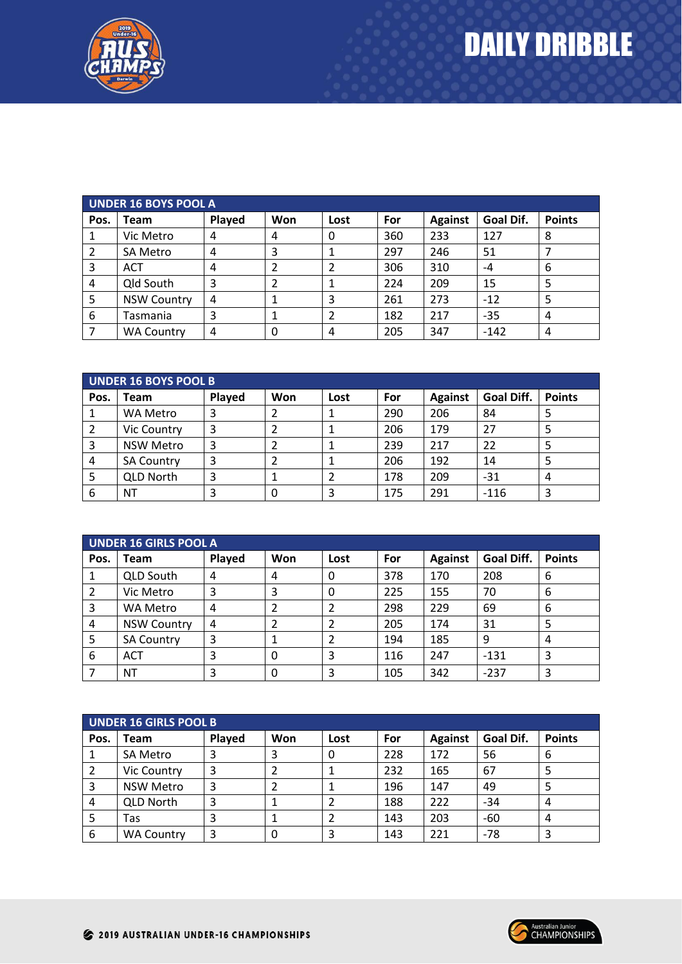

| <b>UNDER 16 BOYS POOL A</b> |                    |        |     |      |     |                |           |               |
|-----------------------------|--------------------|--------|-----|------|-----|----------------|-----------|---------------|
| Pos.                        | Team               | Played | Won | Lost | For | <b>Against</b> | Goal Dif. | <b>Points</b> |
| 1                           | Vic Metro          |        | 4   | U    | 360 | 233            | 127       | 8             |
|                             | <b>SA Metro</b>    | 4      |     |      | 297 | 246            | 51        |               |
| 3                           | <b>ACT</b>         |        |     |      | 306 | 310            | -4        | 6             |
| 4                           | Qld South          | 3      |     |      | 224 | 209            | 15        | 5             |
| 5                           | <b>NSW Country</b> | 4      |     | 3    | 261 | 273            | $-12$     | 5             |
| 6                           | Tasmania           | 3      |     |      | 182 | 217            | $-35$     | 4             |
|                             | <b>WA Country</b>  | 4      | 0   | 4    | 205 | 347            | $-142$    | 4             |

| UNDER 16 BOYS POOL B |                    |        |     |      |     |                |            |               |
|----------------------|--------------------|--------|-----|------|-----|----------------|------------|---------------|
| Pos.                 | Team               | Played | Won | Lost | For | <b>Against</b> | Goal Diff. | <b>Points</b> |
|                      | <b>WA Metro</b>    |        |     |      | 290 | 206            | 84         | ⊃             |
| 2                    | <b>Vic Country</b> | 3      |     |      | 206 | 179            | 27         | 5             |
| 3                    | <b>NSW Metro</b>   | 3      |     |      | 239 | 217            | 22         | 5             |
| 4                    | <b>SA Country</b>  | 3      |     |      | 206 | 192            | 14         | C.            |
| 5                    | <b>QLD North</b>   | 3      |     |      | 178 | 209            | $-31$      | 4             |
| 6                    | <b>NT</b>          |        | 0   |      | 175 | 291            | $-116$     | 3             |

| <b>UNDER 16 GIRLS POOL A</b> |                    |        |     |      |     |                |            |               |
|------------------------------|--------------------|--------|-----|------|-----|----------------|------------|---------------|
| Pos.                         | <b>Team</b>        | Played | Won | Lost | For | <b>Against</b> | Goal Diff. | <b>Points</b> |
|                              | <b>QLD South</b>   | 4      | 4   | 0    | 378 | 170            | 208        | 6             |
| 2                            | Vic Metro          | 3      |     | 0    | 225 | 155            | 70         | 6             |
| 3                            | <b>WA Metro</b>    | 4      |     |      | 298 | 229            | 69         | 6             |
| 4                            | <b>NSW Country</b> | 4      |     |      | 205 | 174            | 31         | 5             |
| 5                            | <b>SA Country</b>  | 3      |     |      | 194 | 185            | 9          | 4             |
| 6                            | <b>ACT</b>         | 3      | 0   | 3    | 116 | 247            | $-131$     | 3             |
|                              | NT                 | 3      | 0   | 3    | 105 | 342            | $-237$     | 3             |

| <b>UNDER 16 GIRLS POOL B</b> |                    |        |     |      |     |                |           |               |
|------------------------------|--------------------|--------|-----|------|-----|----------------|-----------|---------------|
| Pos.                         | <b>Team</b>        | Played | Won | Lost | For | <b>Against</b> | Goal Dif. | <b>Points</b> |
| 1                            | SA Metro           | 3      |     |      | 228 | 172            | 56        | 6             |
| 2                            | <b>Vic Country</b> | 3      |     |      | 232 | 165            | 67        |               |
| 3                            | <b>NSW Metro</b>   | 3      |     |      | 196 | 147            | 49        |               |
| 4                            | <b>QLD North</b>   | 3      |     |      | 188 | 222            | $-34$     | 4             |
| 5                            | Tas                | 3      |     |      | 143 | 203            | $-60$     | 4             |
| 6                            | <b>WA Country</b>  | 3      |     |      | 143 | 221            | $-78$     |               |